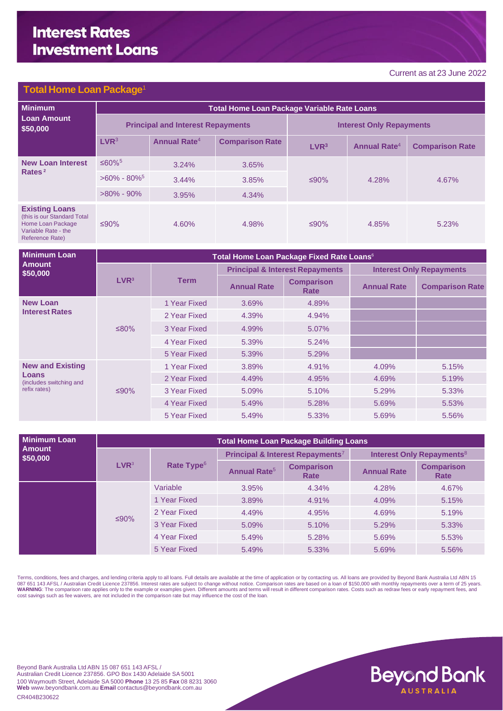# **Interest Rates Investment Loans**

#### Current asat23 June 2022

#### **Total Home Loan Packa**

| <b>Minimum</b>                                                                                                      | <b>Total Home Loan Package Variable Rate Loans</b> |                          |                        |                                 |                                |                        |  |
|---------------------------------------------------------------------------------------------------------------------|----------------------------------------------------|--------------------------|------------------------|---------------------------------|--------------------------------|------------------------|--|
| <b>Loan Amount</b><br>\$50,000                                                                                      | <b>Principal and Interest Repayments</b>           |                          |                        | <b>Interest Only Repayments</b> |                                |                        |  |
|                                                                                                                     | LVR <sup>3</sup>                                   | Annual Rate <sup>4</sup> | <b>Comparison Rate</b> | LVR <sup>3</sup>                | <b>Annual Rate<sup>4</sup></b> | <b>Comparison Rate</b> |  |
| <b>New Loan Interest</b><br>Rates $2$                                                                               | $≤60\%$ <sup>5</sup>                               | 3.24%                    | 3.65%                  |                                 | 4.28%                          | 4.67%                  |  |
|                                                                                                                     | $>60\% - 80\%$                                     | 3.44%                    | 3.85%                  | ≤90%                            |                                |                        |  |
|                                                                                                                     | $>80\% - 90\%$                                     | 3.95%                    | 4.34%                  |                                 |                                |                        |  |
| <b>Existing Loans</b><br>(this is our Standard Total<br>Home Loan Package<br>Variable Rate - the<br>Reference Rate) | ≤90%                                               | 4.60%                    | 4.98%                  | ≤90%                            | 4.85%                          | 5.23%                  |  |

| <b>Minimum Loan</b>                                                         | Total Home Loan Package Fixed Rate Loans <sup>6</sup> |              |                    |                                            |                                 |                        |  |  |
|-----------------------------------------------------------------------------|-------------------------------------------------------|--------------|--------------------|--------------------------------------------|---------------------------------|------------------------|--|--|
| <b>Amount</b><br>\$50,000                                                   |                                                       | Term         |                    | <b>Principal &amp; Interest Repayments</b> | <b>Interest Only Repayments</b> |                        |  |  |
|                                                                             | LVR <sup>3</sup>                                      |              | <b>Annual Rate</b> | <b>Comparison</b><br>Rate                  | <b>Annual Rate</b>              | <b>Comparison Rate</b> |  |  |
| <b>New Loan</b><br><b>Interest Rates</b>                                    | ≤80%                                                  | 1 Year Fixed | 3.69%              | 4.89%                                      |                                 |                        |  |  |
|                                                                             |                                                       | 2 Year Fixed | 4.39%              | 4.94%                                      |                                 |                        |  |  |
|                                                                             |                                                       | 3 Year Fixed | 4.99%              | 5.07%                                      |                                 |                        |  |  |
|                                                                             |                                                       | 4 Year Fixed | 5.39%              | 5.24%                                      |                                 |                        |  |  |
|                                                                             |                                                       | 5 Year Fixed | 5.39%              | 5.29%                                      |                                 |                        |  |  |
| <b>New and Existing</b><br>Loans<br>(includes switching and<br>refix rates) | ≤90%                                                  | 1 Year Fixed | 3.89%              | 4.91%                                      | 4.09%                           | 5.15%                  |  |  |
|                                                                             |                                                       | 2 Year Fixed | 4.49%              | 4.95%                                      | 4.69%                           | 5.19%                  |  |  |
|                                                                             |                                                       | 3 Year Fixed | 5.09%              | 5.10%                                      | 5.29%                           | 5.33%                  |  |  |
|                                                                             |                                                       | 4 Year Fixed | 5.49%              | 5.28%                                      | 5.69%                           | 5.53%                  |  |  |
|                                                                             |                                                       | 5 Year Fixed | 5.49%              | 5.33%                                      | 5.69%                           | 5.56%                  |  |  |

| <b>Minimum Loan</b>       | <b>Total Home Loan Package Building Loans</b> |                        |                                |                                              |                                             |                           |  |
|---------------------------|-----------------------------------------------|------------------------|--------------------------------|----------------------------------------------|---------------------------------------------|---------------------------|--|
| <b>Amount</b><br>\$50,000 | LVR <sup>3</sup>                              | Rate Type <sup>6</sup> |                                | Principal & Interest Repayments <sup>7</sup> | <b>Interest Only Repayments<sup>8</sup></b> |                           |  |
|                           |                                               |                        | <b>Annual Rate<sup>5</sup></b> | <b>Comparison</b><br>Rate                    | <b>Annual Rate</b>                          | <b>Comparison</b><br>Rate |  |
|                           |                                               | Variable               | 3.95%                          | 4.34%                                        | 4.28%                                       | 4.67%                     |  |
|                           |                                               | 1 Year Fixed           | 3.89%                          | 4.91%                                        | 4.09%                                       | 5.15%                     |  |
|                           |                                               | 2 Year Fixed           | 4.49%                          | 4.95%                                        | 4.69%                                       | 5.19%                     |  |
|                           | $≤90\%$                                       | 3 Year Fixed           | 5.09%                          | 5.10%                                        | 5.29%                                       | 5.33%                     |  |
|                           |                                               | 4 Year Fixed           | 5.49%                          | 5.28%                                        | 5.69%                                       | 5.53%                     |  |
|                           |                                               | 5 Year Fixed           | 5.49%                          | 5.33%                                        | 5.69%                                       | 5.56%                     |  |

Terms, conditions, fees and charges, and lending criteria apply to all loans. Full details are available at the time of application or by contacting us. All loans are provided by Beyond Bank Australia Ltd ABN 15<br>087 651 14

Beyond Bank Australia Ltd ABN 15 087 651 143 AFSL / Australian Credit Licence 237856. GPO Box 1430 Adelaide SA 5001 100 Waymouth Street, Adelaide SA 5000 **Phone** 13 25 85 **Fax** 08 8231 3060 **Web** www.beyondbank.com.au **Email** contactus@beyondbank.com.au CR404B230622